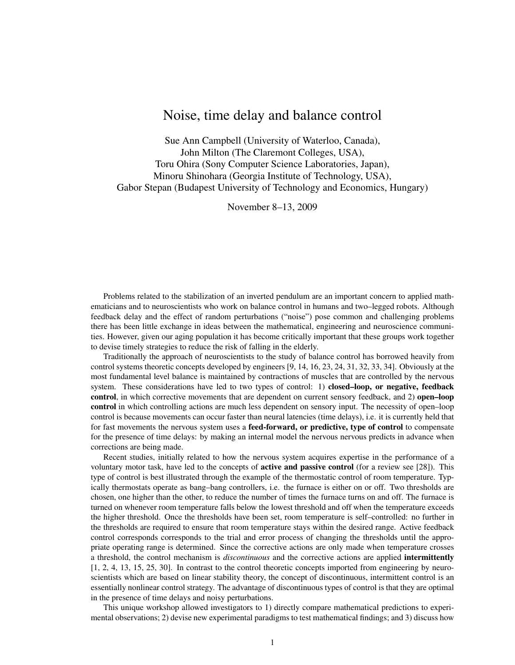# Noise, time delay and balance control

Sue Ann Campbell (University of Waterloo, Canada), John Milton (The Claremont Colleges, USA), Toru Ohira (Sony Computer Science Laboratories, Japan), Minoru Shinohara (Georgia Institute of Technology, USA), Gabor Stepan (Budapest University of Technology and Economics, Hungary)

November 8–13, 2009

Problems related to the stabilization of an inverted pendulum are an important concern to applied mathematicians and to neuroscientists who work on balance control in humans and two–legged robots. Although feedback delay and the effect of random perturbations ("noise") pose common and challenging problems there has been little exchange in ideas between the mathematical, engineering and neuroscience communities. However, given our aging population it has become critically important that these groups work together to devise timely strategies to reduce the risk of falling in the elderly.

Traditionally the approach of neuroscientists to the study of balance control has borrowed heavily from control systems theoretic concepts developed by engineers [9, 14, 16, 23, 24, 31, 32, 33, 34]. Obviously at the most fundamental level balance is maintained by contractions of muscles that are controlled by the nervous system. These considerations have led to two types of control: 1) closed-loop, or negative, feedback control, in which corrective movements that are dependent on current sensory feedback, and 2) open-loop control in which controlling actions are much less dependent on sensory input. The necessity of open–loop control is because movements can occur faster than neural latencies (time delays), i.e. it is currently held that for fast movements the nervous system uses a **feed-forward, or predictive, type of control** to compensate for the presence of time delays: by making an internal model the nervous nervous predicts in advance when corrections are being made.

Recent studies, initially related to how the nervous system acquires expertise in the performance of a voluntary motor task, have led to the concepts of **active and passive control** (for a review see [28]). This type of control is best illustrated through the example of the thermostatic control of room temperature. Typically thermostats operate as bang–bang controllers, i.e. the furnace is either on or off. Two thresholds are chosen, one higher than the other, to reduce the number of times the furnace turns on and off. The furnace is turned on whenever room temperature falls below the lowest threshold and off when the temperature exceeds the higher threshold. Once the thresholds have been set, room temperature is self–controlled: no further in the thresholds are required to ensure that room temperature stays within the desired range. Active feedback control corresponds corresponds to the trial and error process of changing the thresholds until the appropriate operating range is determined. Since the corrective actions are only made when temperature crosses a threshold, the control mechanism is *discontinuous* and the corrective actions are applied intermittently [1, 2, 4, 13, 15, 25, 30]. In contrast to the control theoretic concepts imported from engineering by neuroscientists which are based on linear stability theory, the concept of discontinuous, intermittent control is an essentially nonlinear control strategy. The advantage of discontinuous types of control is that they are optimal in the presence of time delays and noisy perturbations.

This unique workshop allowed investigators to 1) directly compare mathematical predictions to experimental observations; 2) devise new experimental paradigms to test mathematical findings; and 3) discuss how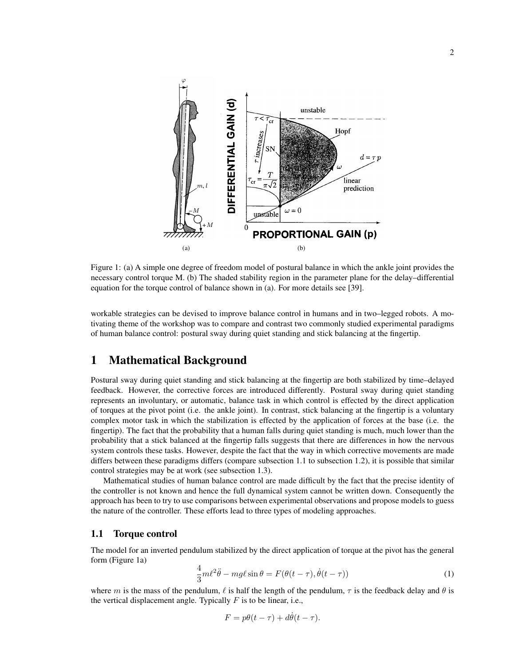

Figure 1: (a) A simple one degree of freedom model of postural balance in which the ankle joint provides the necessary control torque M. (b) The shaded stability region in the parameter plane for the delay–differential equation for the torque control of balance shown in (a). For more details see [39].

workable strategies can be devised to improve balance control in humans and in two–legged robots. A motivating theme of the workshop was to compare and contrast two commonly studied experimental paradigms of human balance control: postural sway during quiet standing and stick balancing at the fingertip.

# 1 Mathematical Background

Postural sway during quiet standing and stick balancing at the fingertip are both stabilized by time–delayed feedback. However, the corrective forces are introduced differently. Postural sway during quiet standing represents an involuntary, or automatic, balance task in which control is effected by the direct application of torques at the pivot point (i.e. the ankle joint). In contrast, stick balancing at the fingertip is a voluntary complex motor task in which the stabilization is effected by the application of forces at the base (i.e. the fingertip). The fact that the probability that a human falls during quiet standing is much, much lower than the probability that a stick balanced at the fingertip falls suggests that there are differences in how the nervous system controls these tasks. However, despite the fact that the way in which corrective movements are made differs between these paradigms differs (compare subsection 1.1 to subsection 1.2), it is possible that similar control strategies may be at work (see subsection 1.3).

Mathematical studies of human balance control are made difficult by the fact that the precise identity of the controller is not known and hence the full dynamical system cannot be written down. Consequently the approach has been to try to use comparisons between experimental observations and propose models to guess the nature of the controller. These efforts lead to three types of modeling approaches.

#### 1.1 Torque control

The model for an inverted pendulum stabilized by the direct application of torque at the pivot has the general form (Figure 1a)

$$
\frac{4}{3}m\ell^2\ddot{\theta} - mg\ell\sin\theta = F(\theta(t-\tau), \dot{\theta}(t-\tau))\tag{1}
$$

where m is the mass of the pendulum,  $\ell$  is half the length of the pendulum,  $\tau$  is the feedback delay and  $\theta$  is the vertical displacement angle. Typically  $F$  is to be linear, i.e.,

$$
F = p\theta(t - \tau) + d\dot{\theta}(t - \tau).
$$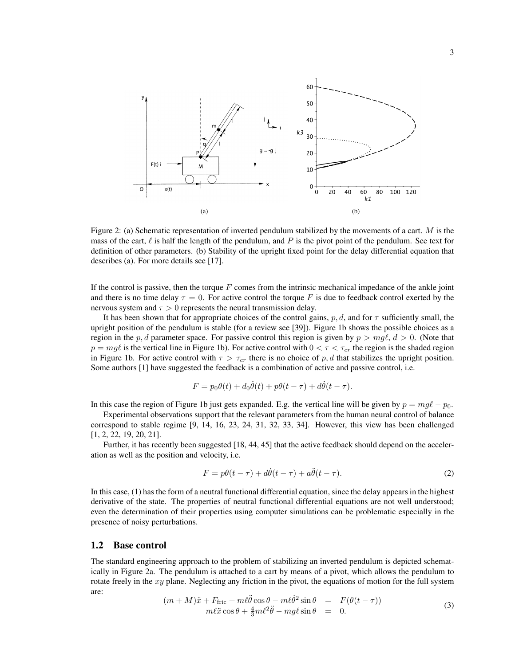

Figure 2: (a) Schematic representation of inverted pendulum stabilized by the movements of a cart.  $M$  is the mass of the cart,  $\ell$  is half the length of the pendulum, and P is the pivot point of the pendulum. See text for definition of other parameters. (b) Stability of the upright fixed point for the delay differential equation that describes (a). For more details see [17].

If the control is passive, then the torque  $F$  comes from the intrinsic mechanical impedance of the ankle joint and there is no time delay  $\tau = 0$ . For active control the torque F is due to feedback control exerted by the nervous system and  $\tau > 0$  represents the neural transmission delay.

It has been shown that for appropriate choices of the control gains, p, d, and for  $\tau$  sufficiently small, the upright position of the pendulum is stable (for a review see [39]). Figure 1b shows the possible choices as a region in the p, d parameter space. For passive control this region is given by  $p > mg\ell$ ,  $d > 0$ . (Note that  $p = mg\ell$  is the vertical line in Figure 1b). For active control with  $0 < \tau < \tau_{cr}$  the region is the shaded region in Figure 1b. For active control with  $\tau > \tau_{cr}$  there is no choice of p, d that stabilizes the upright position. Some authors [1] have suggested the feedback is a combination of active and passive control, i.e.

$$
F = p_0 \theta(t) + d_0 \dot{\theta}(t) + p\theta(t - \tau) + d\dot{\theta}(t - \tau).
$$

In this case the region of Figure 1b just gets expanded. E.g. the vertical line will be given by  $p = mg\ell - p_0$ .

Experimental observations support that the relevant parameters from the human neural control of balance correspond to stable regime [9, 14, 16, 23, 24, 31, 32, 33, 34]. However, this view has been challenged [1, 2, 22, 19, 20, 21].

Further, it has recently been suggested [18, 44, 45] that the active feedback should depend on the acceleration as well as the position and velocity, i.e.

$$
F = p\theta(t - \tau) + d\dot{\theta}(t - \tau) + a\ddot{\theta}(t - \tau).
$$
 (2)

In this case, (1) has the form of a neutral functional differential equation, since the delay appears in the highest derivative of the state. The properties of neutral functional differential equations are not well understood; even the determination of their properties using computer simulations can be problematic especially in the presence of noisy perturbations.

#### 1.2 Base control

The standard engineering approach to the problem of stabilizing an inverted pendulum is depicted schematically in Figure 2a. The pendulum is attached to a cart by means of a pivot, which allows the pendulum to rotate freely in the  $xy$  plane. Neglecting any friction in the pivot, the equations of motion for the full system are:

$$
(m+M)\ddot{x} + F_{\text{fric}} + m\ell\ddot{\theta}\cos\theta - m\ell\dot{\theta}^2\sin\theta = F(\theta(t-\tau))
$$
  

$$
m\ell\ddot{x}\cos\theta + \frac{4}{3}m\ell^2\ddot{\theta} - mg\ell\sin\theta = 0.
$$
 (3)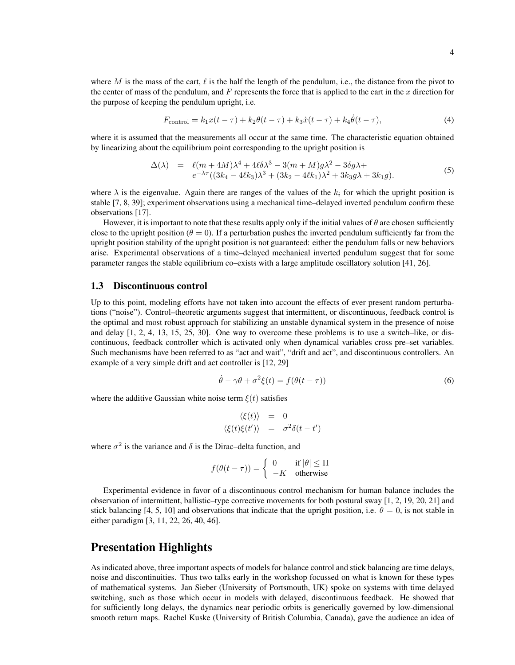where M is the mass of the cart,  $\ell$  is the half the length of the pendulum, i.e., the distance from the pivot to the center of mass of the pendulum, and  $F$  represents the force that is applied to the cart in the  $x$  direction for the purpose of keeping the pendulum upright, i.e.

$$
F_{\text{control}} = k_1 x(t - \tau) + k_2 \theta(t - \tau) + k_3 \dot{x}(t - \tau) + k_4 \dot{\theta}(t - \tau), \tag{4}
$$

where it is assumed that the measurements all occur at the same time. The characteristic equation obtained by linearizing about the equilibrium point corresponding to the upright position is

$$
\Delta(\lambda) = \ell(m+4M)\lambda^4 + 4\ell\delta\lambda^3 - 3(m+M)g\lambda^2 - 3\delta g\lambda +
$$
  

$$
e^{-\lambda\tau}((3k_4 - 4\ell k_3)\lambda^3 + (3k_2 - 4\ell k_1)\lambda^2 + 3k_3g\lambda + 3k_1g).
$$
 (5)

where  $\lambda$  is the eigenvalue. Again there are ranges of the values of the  $k_i$  for which the upright position is stable [7, 8, 39]; experiment observations using a mechanical time–delayed inverted pendulum confirm these observations [17].

However, it is important to note that these results apply only if the initial values of  $\theta$  are chosen sufficiently close to the upright position ( $\theta = 0$ ). If a perturbation pushes the inverted pendulum sufficiently far from the upright position stability of the upright position is not guaranteed: either the pendulum falls or new behaviors arise. Experimental observations of a time–delayed mechanical inverted pendulum suggest that for some parameter ranges the stable equilibrium co–exists with a large amplitude oscillatory solution [41, 26].

#### 1.3 Discontinuous control

Up to this point, modeling efforts have not taken into account the effects of ever present random perturbations ("noise"). Control–theoretic arguments suggest that intermittent, or discontinuous, feedback control is the optimal and most robust approach for stabilizing an unstable dynamical system in the presence of noise and delay [1, 2, 4, 13, 15, 25, 30]. One way to overcome these problems is to use a switch–like, or discontinuous, feedback controller which is activated only when dynamical variables cross pre–set variables. Such mechanisms have been referred to as "act and wait", "drift and act", and discontinuous controllers. An example of a very simple drift and act controller is [12, 29]

$$
\dot{\theta} - \gamma \theta + \sigma^2 \xi(t) = f(\theta(t - \tau))
$$
\n(6)

where the additive Gaussian white noise term  $\xi(t)$  satisfies

$$
\langle \xi(t) \rangle = 0
$$
  

$$
\langle \xi(t) \xi(t') \rangle = \sigma^2 \delta(t - t')
$$

where  $\sigma^2$  is the variance and  $\delta$  is the Dirac–delta function, and

$$
f(\theta(t-\tau)) = \begin{cases} 0 & \text{if } |\theta| \le \Pi \\ -K & \text{otherwise} \end{cases}
$$

Experimental evidence in favor of a discontinuous control mechanism for human balance includes the observation of intermittent, ballistic–type corrective movements for both postural sway [1, 2, 19, 20, 21] and stick balancing [4, 5, 10] and observations that indicate that the upright position, i.e.  $\theta = 0$ , is not stable in either paradigm [3, 11, 22, 26, 40, 46].

### Presentation Highlights

As indicated above, three important aspects of models for balance control and stick balancing are time delays, noise and discontinuities. Thus two talks early in the workshop focussed on what is known for these types of mathematical systems. Jan Sieber (University of Portsmouth, UK) spoke on systems with time delayed switching, such as those which occur in models with delayed, discontinuous feedback. He showed that for sufficiently long delays, the dynamics near periodic orbits is generically governed by low-dimensional smooth return maps. Rachel Kuske (University of British Columbia, Canada), gave the audience an idea of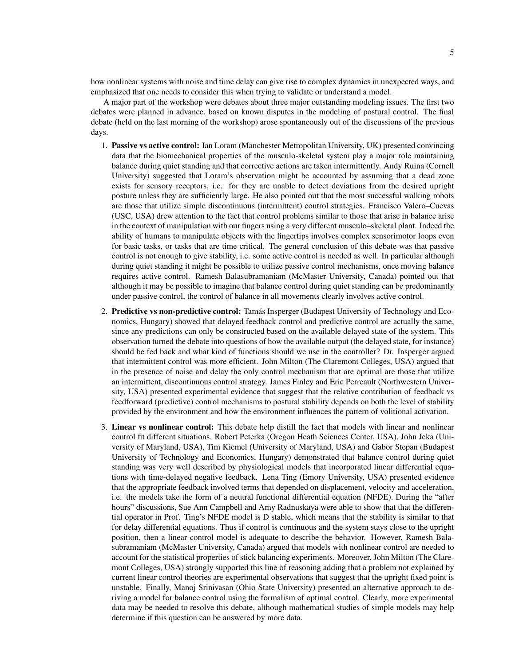how nonlinear systems with noise and time delay can give rise to complex dynamics in unexpected ways, and emphasized that one needs to consider this when trying to validate or understand a model.

A major part of the workshop were debates about three major outstanding modeling issues. The first two debates were planned in advance, based on known disputes in the modeling of postural control. The final debate (held on the last morning of the workshop) arose spontaneously out of the discussions of the previous days.

- 1. Passive vs active control: Ian Loram (Manchester Metropolitan University, UK) presented convincing data that the biomechanical properties of the musculo-skeletal system play a major role maintaining balance during quiet standing and that corrective actions are taken intermittently. Andy Ruina (Cornell University) suggested that Loram's observation might be accounted by assuming that a dead zone exists for sensory receptors, i.e. for they are unable to detect deviations from the desired upright posture unless they are sufficiently large. He also pointed out that the most successful walking robots are those that utilize simple discontinuous (intermittent) control strategies. Francisco Valero–Cuevas (USC, USA) drew attention to the fact that control problems similar to those that arise in balance arise in the context of manipulation with our fingers using a very different musculo–skeletal plant. Indeed the ability of humans to manipulate objects with the fingertips involves complex sensorimotor loops even for basic tasks, or tasks that are time critical. The general conclusion of this debate was that passive control is not enough to give stability, i.e. some active control is needed as well. In particular although during quiet standing it might be possible to utilize passive control mechanisms, once moving balance requires active control. Ramesh Balasubramaniam (McMaster University, Canada) pointed out that although it may be possible to imagine that balance control during quiet standing can be predominantly under passive control, the control of balance in all movements clearly involves active control.
- 2. Predictive vs non-predictive control: Tamás Insperger (Budapest University of Technology and Economics, Hungary) showed that delayed feedback control and predictive control are actually the same, since any predictions can only be constructed based on the available delayed state of the system. This observation turned the debate into questions of how the available output (the delayed state, for instance) should be fed back and what kind of functions should we use in the controller? Dr. Insperger argued that intermittent control was more efficient. John Milton (The Claremont Colleges, USA) argued that in the presence of noise and delay the only control mechanism that are optimal are those that utilize an intermittent, discontinuous control strategy. James Finley and Eric Perreault (Northwestern University, USA) presented experimental evidence that suggest that the relative contribution of feedback vs feedforward (predictive) control mechanisms to postural stability depends on both the level of stability provided by the environment and how the environment influences the pattern of volitional activation.
- 3. Linear vs nonlinear control: This debate help distill the fact that models with linear and nonlinear control fit different situations. Robert Peterka (Oregon Heath Sciences Center, USA), John Jeka (University of Maryland, USA), Tim Kiemel (University of Maryland, USA) and Gabor Stepan (Budapest University of Technology and Economics, Hungary) demonstrated that balance control during quiet standing was very well described by physiological models that incorporated linear differential equations with time-delayed negative feedback. Lena Ting (Emory University, USA) presented evidence that the appropriate feedback involved terms that depended on displacement, velocity and acceleration, i.e. the models take the form of a neutral functional differential equation (NFDE). During the "after hours" discussions, Sue Ann Campbell and Amy Radnuskaya were able to show that that the differential operator in Prof. Ting's NFDE model is D stable, which means that the stability is similar to that for delay differential equations. Thus if control is continuous and the system stays close to the upright position, then a linear control model is adequate to describe the behavior. However, Ramesh Balasubramaniam (McMaster University, Canada) argued that models with nonlinear control are needed to account for the statistical properties of stick balancing experiments. Moreover, John Milton (The Claremont Colleges, USA) strongly supported this line of reasoning adding that a problem not explained by current linear control theories are experimental observations that suggest that the upright fixed point is unstable. Finally, Manoj Srinivasan (Ohio State University) presented an alternative approach to deriving a model for balance control using the formalism of optimal control. Clearly, more experimental data may be needed to resolve this debate, although mathematical studies of simple models may help determine if this question can be answered by more data.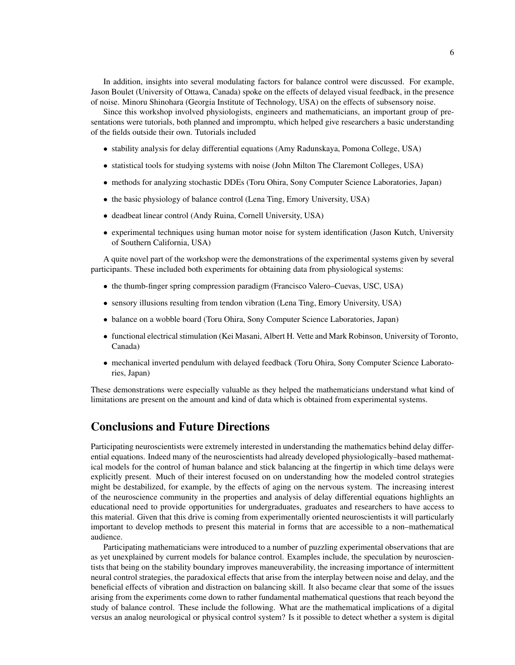In addition, insights into several modulating factors for balance control were discussed. For example, Jason Boulet (University of Ottawa, Canada) spoke on the effects of delayed visual feedback, in the presence of noise. Minoru Shinohara (Georgia Institute of Technology, USA) on the effects of subsensory noise.

Since this workshop involved physiologists, engineers and mathematicians, an important group of presentations were tutorials, both planned and impromptu, which helped give researchers a basic understanding of the fields outside their own. Tutorials included

- stability analysis for delay differential equations (Amy Radunskaya, Pomona College, USA)
- statistical tools for studying systems with noise (John Milton The Claremont Colleges, USA)
- methods for analyzing stochastic DDEs (Toru Ohira, Sony Computer Science Laboratories, Japan)
- the basic physiology of balance control (Lena Ting, Emory University, USA)
- deadbeat linear control (Andy Ruina, Cornell University, USA)
- experimental techniques using human motor noise for system identification (Jason Kutch, University of Southern California, USA)

A quite novel part of the workshop were the demonstrations of the experimental systems given by several participants. These included both experiments for obtaining data from physiological systems:

- the thumb-finger spring compression paradigm (Francisco Valero–Cuevas, USC, USA)
- sensory illusions resulting from tendon vibration (Lena Ting, Emory University, USA)
- balance on a wobble board (Toru Ohira, Sony Computer Science Laboratories, Japan)
- functional electrical stimulation (Kei Masani, Albert H. Vette and Mark Robinson, University of Toronto, Canada)
- mechanical inverted pendulum with delayed feedback (Toru Ohira, Sony Computer Science Laboratories, Japan)

These demonstrations were especially valuable as they helped the mathematicians understand what kind of limitations are present on the amount and kind of data which is obtained from experimental systems.

# Conclusions and Future Directions

Participating neuroscientists were extremely interested in understanding the mathematics behind delay differential equations. Indeed many of the neuroscientists had already developed physiologically–based mathematical models for the control of human balance and stick balancing at the fingertip in which time delays were explicitly present. Much of their interest focused on on understanding how the modeled control strategies might be destabilized, for example, by the effects of aging on the nervous system. The increasing interest of the neuroscience community in the properties and analysis of delay differential equations highlights an educational need to provide opportunities for undergraduates, graduates and researchers to have access to this material. Given that this drive is coming from experimentally oriented neuroscientists it will particularly important to develop methods to present this material in forms that are accessible to a non–mathematical audience.

Participating mathematicians were introduced to a number of puzzling experimental observations that are as yet unexplained by current models for balance control. Examples include, the speculation by neuroscientists that being on the stability boundary improves maneuverability, the increasing importance of intermittent neural control strategies, the paradoxical effects that arise from the interplay between noise and delay, and the beneficial effects of vibration and distraction on balancing skill. It also became clear that some of the issues arising from the experiments come down to rather fundamental mathematical questions that reach beyond the study of balance control. These include the following. What are the mathematical implications of a digital versus an analog neurological or physical control system? Is it possible to detect whether a system is digital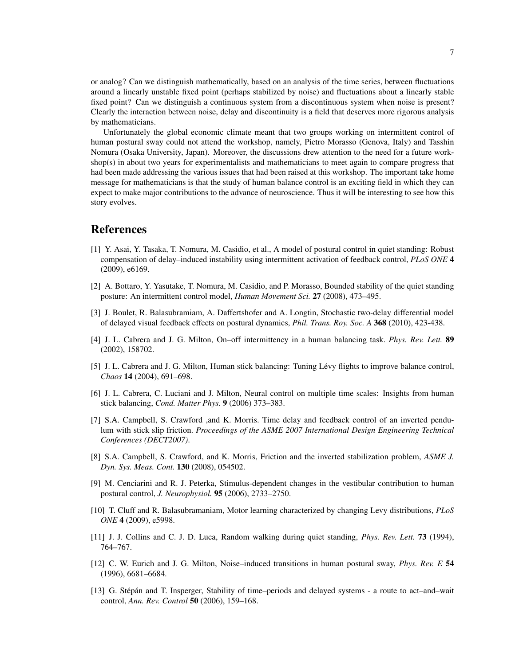or analog? Can we distinguish mathematically, based on an analysis of the time series, between fluctuations around a linearly unstable fixed point (perhaps stabilized by noise) and fluctuations about a linearly stable fixed point? Can we distinguish a continuous system from a discontinuous system when noise is present? Clearly the interaction between noise, delay and discontinuity is a field that deserves more rigorous analysis by mathematicians.

Unfortunately the global economic climate meant that two groups working on intermittent control of human postural sway could not attend the workshop, namely, Pietro Morasso (Genova, Italy) and Tasshin Nomura (Osaka University, Japan). Moreover, the discussions drew attention to the need for a future workshop(s) in about two years for experimentalists and mathematicians to meet again to compare progress that had been made addressing the various issues that had been raised at this workshop. The important take home message for mathematicians is that the study of human balance control is an exciting field in which they can expect to make major contributions to the advance of neuroscience. Thus it will be interesting to see how this story evolves.

## References

- [1] Y. Asai, Y. Tasaka, T. Nomura, M. Casidio, et al., A model of postural control in quiet standing: Robust compensation of delay–induced instability using intermittent activation of feedback control, *PLoS ONE* 4 (2009), e6169.
- [2] A. Bottaro, Y. Yasutake, T. Nomura, M. Casidio, and P. Morasso, Bounded stability of the quiet standing posture: An intermittent control model, *Human Movement Sci.* 27 (2008), 473–495.
- [3] J. Boulet, R. Balasubramiam, A. Daffertshofer and A. Longtin, Stochastic two-delay differential model of delayed visual feedback effects on postural dynamics, *Phil. Trans. Roy. Soc. A* 368 (2010), 423-438.
- [4] J. L. Cabrera and J. G. Milton, On–off intermittency in a human balancing task. *Phys. Rev. Lett.* 89 (2002), 158702.
- [5] J. L. Cabrera and J. G. Milton, Human stick balancing: Tuning Lévy flights to improve balance control, *Chaos* 14 (2004), 691–698.
- [6] J. L. Cabrera, C. Luciani and J. Milton, Neural control on multiple time scales: Insights from human stick balancing, *Cond. Matter Phys.* 9 (2006) 373–383.
- [7] S.A. Campbell, S. Crawford ,and K. Morris. Time delay and feedback control of an inverted pendulum with stick slip friction. *Proceedings of the ASME 2007 International Design Engineering Technical Conferences (DECT2007)*.
- [8] S.A. Campbell, S. Crawford, and K. Morris, Friction and the inverted stabilization problem, *ASME J. Dyn. Sys. Meas. Cont.* 130 (2008), 054502.
- [9] M. Cenciarini and R. J. Peterka, Stimulus-dependent changes in the vestibular contribution to human postural control, *J. Neurophysiol.* 95 (2006), 2733–2750.
- [10] T. Cluff and R. Balasubramaniam, Motor learning characterized by changing Levy distributions, *PLoS ONE* 4 (2009), e5998.
- [11] J. J. Collins and C. J. D. Luca, Random walking during quiet standing, *Phys. Rev. Lett.* **73** (1994), 764–767.
- [12] C. W. Eurich and J. G. Milton, Noise–induced transitions in human postural sway, *Phys. Rev. E* 54 (1996), 6681–6684.
- [13] G. Stépán and T. Insperger, Stability of time–periods and delayed systems a route to act–and–wait control, *Ann. Rev. Control* 50 (2006), 159–168.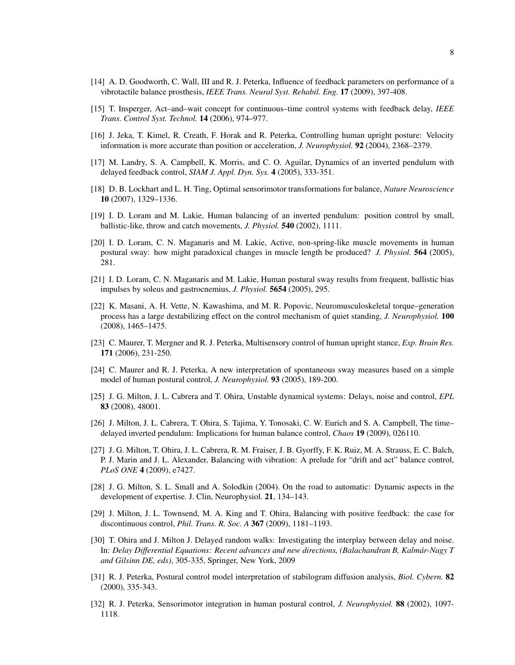- [14] A. D. Goodworth, C. Wall, III and R. J. Peterka, Influence of feedback parameters on performance of a vibrotactile balance prosthesis, *IEEE Trans. Neural Syst. Rehabil. Eng.* 17 (2009), 397-408.
- [15] T. Insperger, Act–and–wait concept for continuous–time control systems with feedback delay, *IEEE Trans. Control Syst. Technol.* 14 (2006), 974–977.
- [16] J. Jeka, T. Kimel, R. Creath, F. Horak and R. Peterka, Controlling human upright posture: Velocity information is more accurate than position or acceleration, *J. Neurophysiol.* 92 (2004), 2368–2379.
- [17] M. Landry, S. A. Campbell, K. Morris, and C. O. Aguilar, Dynamics of an inverted pendulum with delayed feedback control, *SIAM J. Appl. Dyn. Sys.* 4 (2005), 333-351.
- [18] D. B. Lockhart and L. H. Ting, Optimal sensorimotor transformations for balance, *Nature Neuroscience* 10 (2007), 1329–1336.
- [19] I. D. Loram and M. Lakie, Human balancing of an inverted pendulum: position control by small, ballistic-like, throw and catch movements, *J. Physiol.* 540 (2002), 1111.
- [20] I. D. Loram, C. N. Maganaris and M. Lakie, Active, non-spring-like muscle movements in human postural sway: how might paradoxical changes in muscle length be produced? *J. Physiol.* 564 (2005), 281.
- [21] I. D. Loram, C. N. Maganaris and M. Lakie, Human postural sway results from frequent, ballistic bias impulses by soleus and gastrocnemius, *J. Physiol.* 5654 (2005), 295.
- [22] K. Masani, A. H. Vette, N. Kawashima, and M. R. Popovic, Neuromusculoskeletal torque–generation process has a large destabilizing effect on the control mechanism of quiet standing, *J. Neurophysiol.* 100 (2008), 1465–1475.
- [23] C. Maurer, T. Mergner and R. J. Peterka, Multisensory control of human upright stance, *Exp. Brain Res.* 171 (2006), 231-250.
- [24] C. Maurer and R. J. Peterka, A new interpretation of spontaneous sway measures based on a simple model of human postural control, *J. Neurophysiol.* 93 (2005), 189-200.
- [25] J. G. Milton, J. L. Cabrera and T. Ohira, Unstable dynamical systems: Delays, noise and control, *EPL* 83 (2008), 48001.
- [26] J. Milton, J. L. Cabrera, T. Ohira, S. Tajima, Y. Tonosaki, C. W. Eurich and S. A. Campbell, The time– delayed inverted pendulum: Implications for human balance control, *Chaos* 19 (2009), 026110.
- [27] J. G. Milton, T. Ohira, J. L. Cabrera, R. M. Fraiser, J. B. Gyorffy, F. K. Ruiz, M. A. Strauss, E. C. Balch, P. J. Marin and J. L. Alexander, Balancing with vibration: A prelude for "drift and act" balance control, *PLoS ONE* 4 (2009), e7427.
- [28] J. G. Milton, S. L. Small and A. Solodkin (2004). On the road to automatic: Dynamic aspects in the development of expertise. J. Clin, Neurophysiol. 21, 134–143.
- [29] J. Milton, J. L. Townsend, M. A. King and T. Ohira, Balancing with positive feedback: the case for discontinuous control, *Phil. Trans. R. Soc. A* 367 (2009), 1181–1193.
- [30] T. Ohira and J. Milton J. Delayed random walks: Investigating the interplay between delay and noise. In: *Delay Differential Equations: Recent advances and new directions, (Balachandran B, Kalmar-Nagy T ´ and Gilsinn DE, eds)*, 305-335, Springer, New York, 2009
- [31] R. J. Peterka, Postural control model interpretation of stabilogram diffusion analysis, *Biol. Cybern.* 82 (2000), 335-343.
- [32] R. J. Peterka, Sensorimotor integration in human postural control, *J. Neurophysiol.* 88 (2002), 1097- 1118.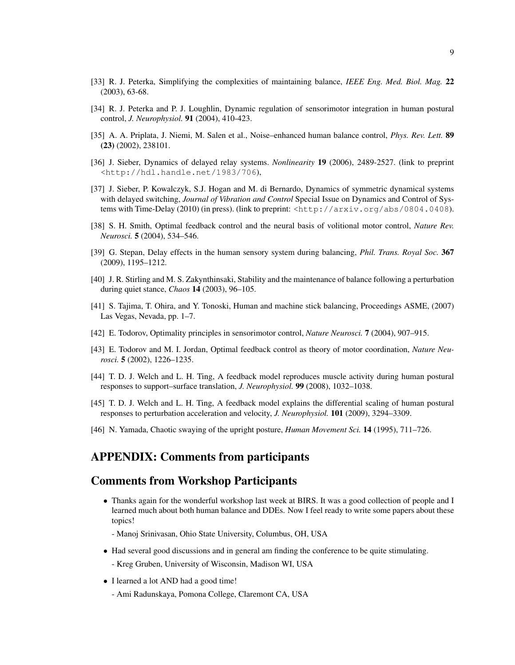- [33] R. J. Peterka, Simplifying the complexities of maintaining balance, *IEEE Eng. Med. Biol. Mag.* 22 (2003), 63-68.
- [34] R. J. Peterka and P. J. Loughlin, Dynamic regulation of sensorimotor integration in human postural control, *J. Neurophysiol.* 91 (2004), 410-423.
- [35] A. A. Priplata, J. Niemi, M. Salen et al., Noise–enhanced human balance control, *Phys. Rev. Lett.* 89 (23) (2002), 238101.
- [36] J. Sieber, Dynamics of delayed relay systems. *Nonlinearity* 19 (2006), 2489-2527. (link to preprint <http://hdl.handle.net/1983/706),
- [37] J. Sieber, P. Kowalczyk, S.J. Hogan and M. di Bernardo, Dynamics of symmetric dynamical systems with delayed switching, *Journal of Vibration and Control* Special Issue on Dynamics and Control of Systems with Time-Delay (2010) (in press). (link to preprint: <http://arxiv.org/abs/0804.0408).
- [38] S. H. Smith, Optimal feedback control and the neural basis of volitional motor control, *Nature Rev. Neurosci.* 5 (2004), 534–546.
- [39] G. Stepan, Delay effects in the human sensory system during balancing, *Phil. Trans. Royal Soc.* 367 (2009), 1195–1212.
- [40] J. R. Stirling and M. S. Zakynthinsaki, Stability and the maintenance of balance following a perturbation during quiet stance, *Chaos* 14 (2003), 96–105.
- [41] S. Tajima, T. Ohira, and Y. Tonoski, Human and machine stick balancing, Proceedings ASME, (2007) Las Vegas, Nevada, pp. 1–7.
- [42] E. Todorov, Optimality principles in sensorimotor control, *Nature Neurosci.* 7 (2004), 907–915.
- [43] E. Todorov and M. I. Jordan, Optimal feedback control as theory of motor coordination, *Nature Neurosci.* 5 (2002), 1226–1235.
- [44] T. D. J. Welch and L. H. Ting, A feedback model reproduces muscle activity during human postural responses to support–surface translation, *J. Neurophysiol.* 99 (2008), 1032–1038.
- [45] T. D. J. Welch and L. H. Ting, A feedback model explains the differential scaling of human postural responses to perturbation acceleration and velocity, *J. Neurophysiol.* 101 (2009), 3294–3309.
- [46] N. Yamada, Chaotic swaying of the upright posture, *Human Movement Sci.* 14 (1995), 711–726.

# APPENDIX: Comments from participants

### Comments from Workshop Participants

- Thanks again for the wonderful workshop last week at BIRS. It was a good collection of people and I learned much about both human balance and DDEs. Now I feel ready to write some papers about these topics!
	- Manoj Srinivasan, Ohio State University, Columbus, OH, USA
- Had several good discussions and in general am finding the conference to be quite stimulating.
	- Kreg Gruben, University of Wisconsin, Madison WI, USA
- I learned a lot AND had a good time!
	- Ami Radunskaya, Pomona College, Claremont CA, USA